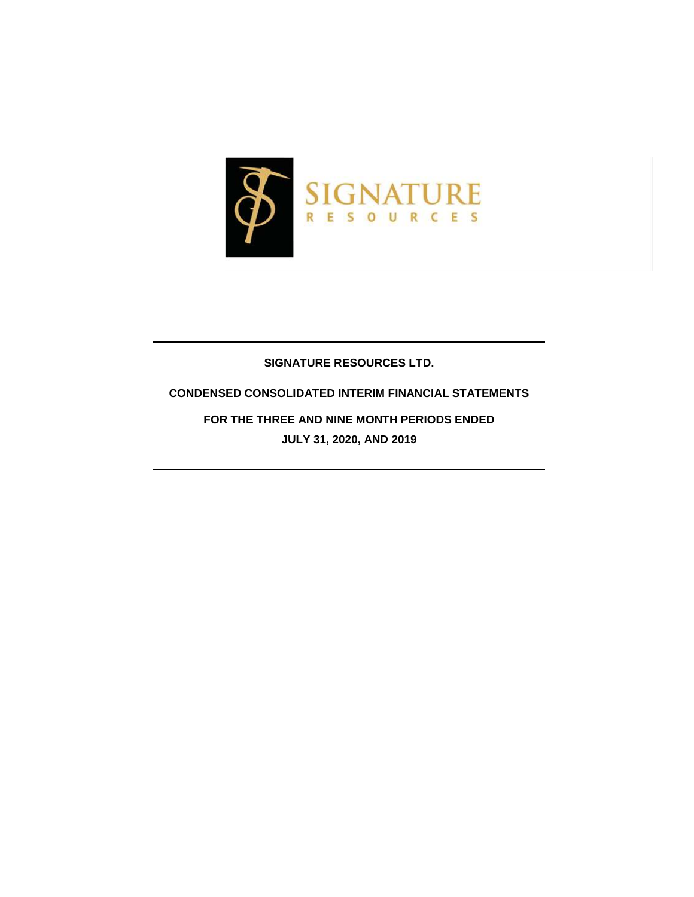

## **SIGNATURE RESOURCES LTD.**

## **CONDENSED CONSOLIDATED INTERIM FINANCIAL STATEMENTS**

**FOR THE THREE AND NINE MONTH PERIODS ENDED JULY 31, 2020, AND 2019**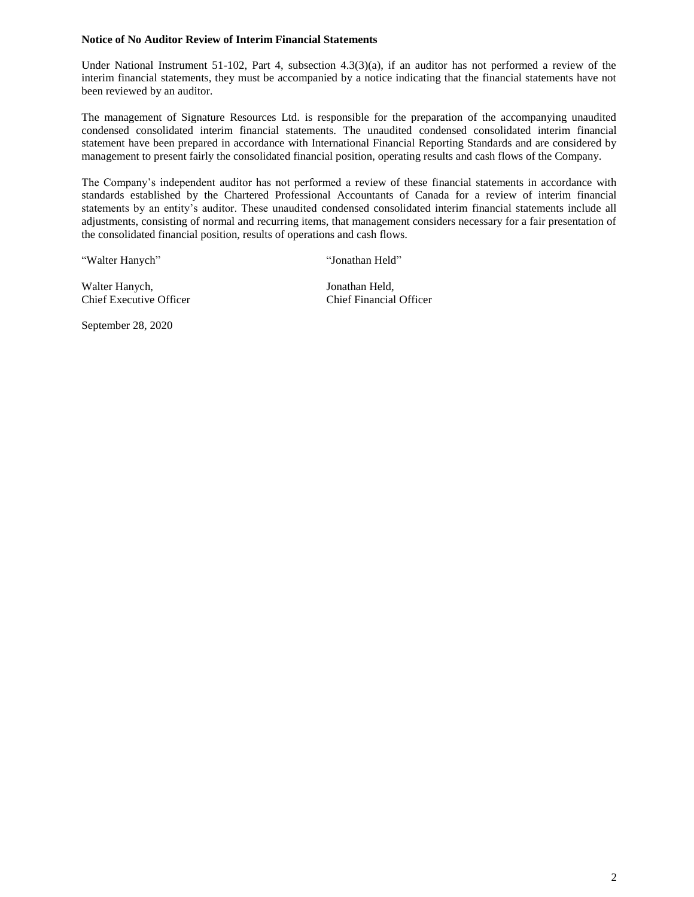#### **Notice of No Auditor Review of Interim Financial Statements**

Under National Instrument 51-102, Part 4, subsection 4.3(3)(a), if an auditor has not performed a review of the interim financial statements, they must be accompanied by a notice indicating that the financial statements have not been reviewed by an auditor.

The management of Signature Resources Ltd. is responsible for the preparation of the accompanying unaudited condensed consolidated interim financial statements. The unaudited condensed consolidated interim financial statement have been prepared in accordance with International Financial Reporting Standards and are considered by management to present fairly the consolidated financial position, operating results and cash flows of the Company.

The Company's independent auditor has not performed a review of these financial statements in accordance with standards established by the Chartered Professional Accountants of Canada for a review of interim financial statements by an entity's auditor. These unaudited condensed consolidated interim financial statements include all adjustments, consisting of normal and recurring items, that management considers necessary for a fair presentation of the consolidated financial position, results of operations and cash flows.

"Walter Hanych" "Jonathan Held"

Walter Hanych, Jonathan Held, Chief Executive Officer Chief Financial Officer

September 28, 2020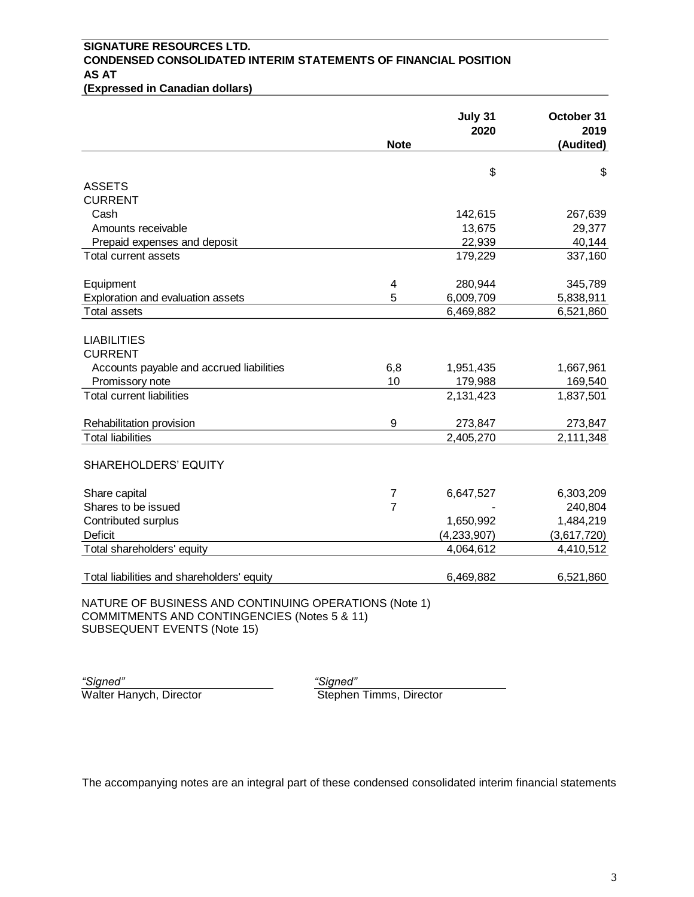# **SIGNATURE RESOURCES LTD. CONDENSED CONSOLIDATED INTERIM STATEMENTS OF FINANCIAL POSITION AS AT**

**(Expressed in Canadian dollars)**

|                                                                                                                                      |                         | July 31<br>2020 | October 31<br>2019 |
|--------------------------------------------------------------------------------------------------------------------------------------|-------------------------|-----------------|--------------------|
|                                                                                                                                      | <b>Note</b>             |                 | (Audited)          |
|                                                                                                                                      |                         | \$              | \$                 |
| <b>ASSETS</b>                                                                                                                        |                         |                 |                    |
| <b>CURRENT</b>                                                                                                                       |                         |                 |                    |
| Cash                                                                                                                                 |                         | 142,615         | 267,639            |
| Amounts receivable                                                                                                                   |                         | 13,675          | 29,377             |
| Prepaid expenses and deposit                                                                                                         |                         | 22,939          | 40,144             |
| Total current assets                                                                                                                 |                         | 179,229         | 337,160            |
| Equipment                                                                                                                            | $\overline{\mathbf{4}}$ | 280,944         | 345,789            |
| Exploration and evaluation assets                                                                                                    | 5                       | 6,009,709       | 5,838,911          |
| <b>Total assets</b>                                                                                                                  |                         | 6,469,882       | 6,521,860          |
| <b>LIABILITIES</b>                                                                                                                   |                         |                 |                    |
| <b>CURRENT</b>                                                                                                                       |                         |                 |                    |
| Accounts payable and accrued liabilities                                                                                             | 6,8                     | 1,951,435       | 1,667,961          |
| Promissory note                                                                                                                      | 10                      | 179,988         | 169,540            |
| <b>Total current liabilities</b>                                                                                                     |                         | 2,131,423       | 1,837,501          |
| Rehabilitation provision                                                                                                             | 9                       | 273,847         | 273,847            |
| <b>Total liabilities</b>                                                                                                             |                         | 2,405,270       | 2,111,348          |
| <b>SHAREHOLDERS' EQUITY</b>                                                                                                          |                         |                 |                    |
| Share capital                                                                                                                        | $\overline{7}$          | 6,647,527       | 6,303,209          |
| Shares to be issued                                                                                                                  | $\overline{7}$          |                 | 240,804            |
| Contributed surplus                                                                                                                  |                         | 1,650,992       | 1,484,219          |
| <b>Deficit</b>                                                                                                                       |                         | (4,233,907)     | (3,617,720)        |
| Total shareholders' equity                                                                                                           |                         | 4,064,612       | 4,410,512          |
| Total liabilities and shareholders' equity                                                                                           |                         | 6,469,882       | 6,521,860          |
| NATURE OF BUSINESS AND CONTINUING OPERATIONS (Note 1)<br>COMMITMENTS AND CONTINGENCIES (Notes 5 & 11)<br>SUBSEQUENT EVENTS (Note 15) |                         |                 |                    |

Walter Hanych, Director

*"Signed" "Signed"*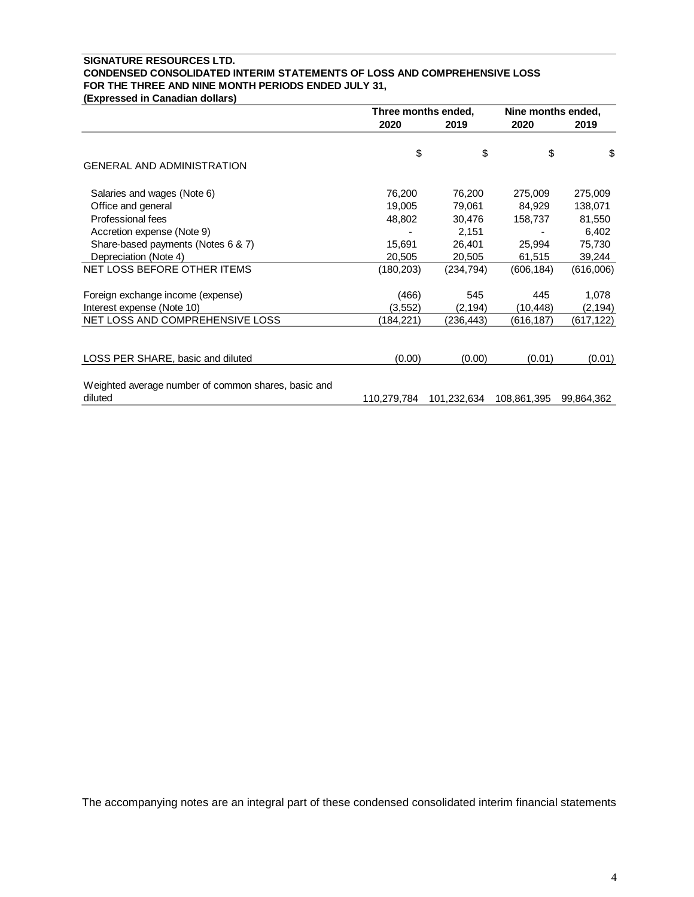### **SIGNATURE RESOURCES LTD. CONDENSED CONSOLIDATED INTERIM STATEMENTS OF LOSS AND COMPREHENSIVE LOSS FOR THE THREE AND NINE MONTH PERIODS ENDED JULY 31,**

**(Expressed in Canadian dollars)**

| Three months ended, |                                                     | Nine months ended,                                |                                                    |
|---------------------|-----------------------------------------------------|---------------------------------------------------|----------------------------------------------------|
| 2020                | 2019                                                | 2020                                              | 2019                                               |
|                     |                                                     |                                                   |                                                    |
|                     |                                                     |                                                   | \$                                                 |
|                     |                                                     |                                                   |                                                    |
| 76,200              | 76,200                                              | 275,009                                           | 275,009                                            |
| 19,005              | 79,061                                              | 84,929                                            | 138,071                                            |
| 48,802              | 30,476                                              | 158,737                                           | 81,550                                             |
|                     | 2,151                                               |                                                   | 6,402                                              |
| 15,691              | 26,401                                              | 25,994                                            | 75,730                                             |
| 20,505              | 20,505                                              | 61,515                                            | 39,244                                             |
| (180, 203)          | (234, 794)                                          | (606,184)                                         | (616,006)                                          |
|                     |                                                     |                                                   |                                                    |
|                     |                                                     |                                                   | 1,078                                              |
|                     |                                                     |                                                   | (2, 194)                                           |
|                     |                                                     |                                                   | (617,122)                                          |
|                     |                                                     |                                                   |                                                    |
| (0.00)              | (0.00)                                              | (0.01)                                            | (0.01)                                             |
|                     |                                                     |                                                   |                                                    |
|                     |                                                     |                                                   |                                                    |
|                     |                                                     |                                                   | 99,864,362                                         |
|                     | \$<br>(466)<br>(3, 552)<br>(184,221)<br>110,279,784 | \$<br>545<br>(2,194)<br>(236, 443)<br>101,232,634 | \$<br>445<br>(10, 448)<br>(616,187)<br>108,861,395 |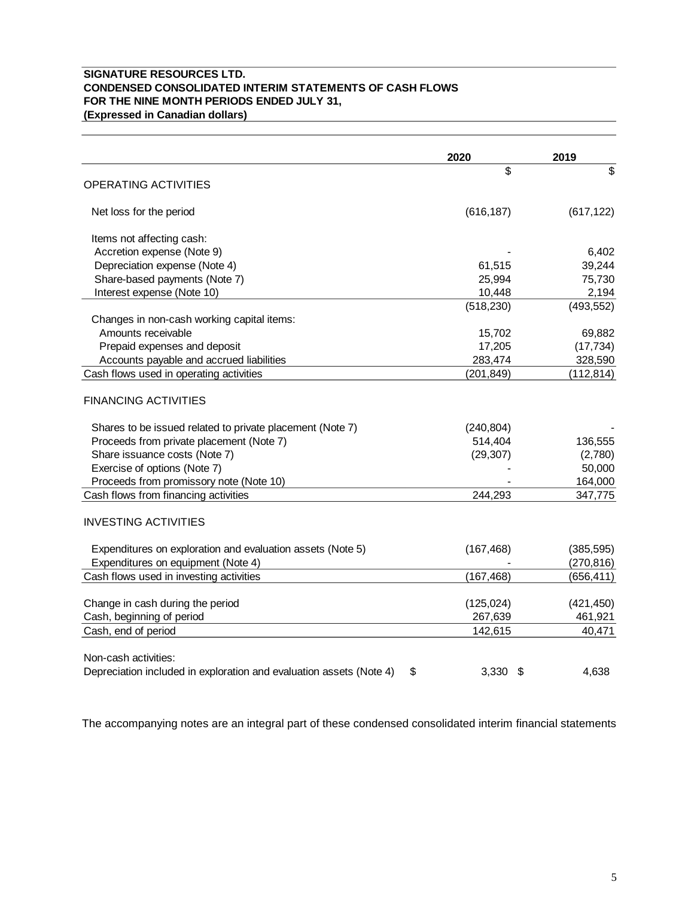## **SIGNATURE RESOURCES LTD. CONDENSED CONSOLIDATED INTERIM STATEMENTS OF CASH FLOWS FOR THE NINE MONTH PERIODS ENDED JULY 31, (Expressed in Canadian dollars)**

|                                                                           | 2020          | 2019       |
|---------------------------------------------------------------------------|---------------|------------|
|                                                                           | \$            | \$         |
| <b>OPERATING ACTIVITIES</b>                                               |               |            |
| Net loss for the period                                                   | (616, 187)    | (617, 122) |
| Items not affecting cash:                                                 |               |            |
| Accretion expense (Note 9)                                                |               | 6,402      |
| Depreciation expense (Note 4)                                             | 61,515        | 39,244     |
| Share-based payments (Note 7)                                             | 25,994        | 75,730     |
| Interest expense (Note 10)                                                | 10,448        | 2,194      |
|                                                                           | (518, 230)    | (493, 552) |
| Changes in non-cash working capital items:                                |               |            |
| Amounts receivable                                                        | 15,702        | 69,882     |
| Prepaid expenses and deposit                                              | 17,205        | (17, 734)  |
| Accounts payable and accrued liabilities                                  | 283,474       | 328,590    |
| Cash flows used in operating activities                                   | (201, 849)    | (112, 814) |
| <b>FINANCING ACTIVITIES</b>                                               |               |            |
| Shares to be issued related to private placement (Note 7)                 | (240, 804)    |            |
| Proceeds from private placement (Note 7)                                  | 514,404       | 136,555    |
| Share issuance costs (Note 7)                                             | (29, 307)     | (2,780)    |
| Exercise of options (Note 7)                                              |               | 50,000     |
| Proceeds from promissory note (Note 10)                                   |               | 164,000    |
| Cash flows from financing activities                                      | 244,293       | 347,775    |
| <b>INVESTING ACTIVITIES</b>                                               |               |            |
| Expenditures on exploration and evaluation assets (Note 5)                | (167, 468)    | (385, 595) |
| Expenditures on equipment (Note 4)                                        |               | (270, 816) |
| Cash flows used in investing activities                                   | (167, 468)    | (656, 411) |
|                                                                           |               |            |
| Change in cash during the period                                          | (125, 024)    | (421, 450) |
| Cash, beginning of period                                                 | 267,639       | 461,921    |
| Cash, end of period                                                       | 142,615       | 40,471     |
| Non-cash activities:                                                      |               |            |
| Depreciation included in exploration and evaluation assets (Note 4)<br>\$ | 3,330<br>- \$ | 4,638      |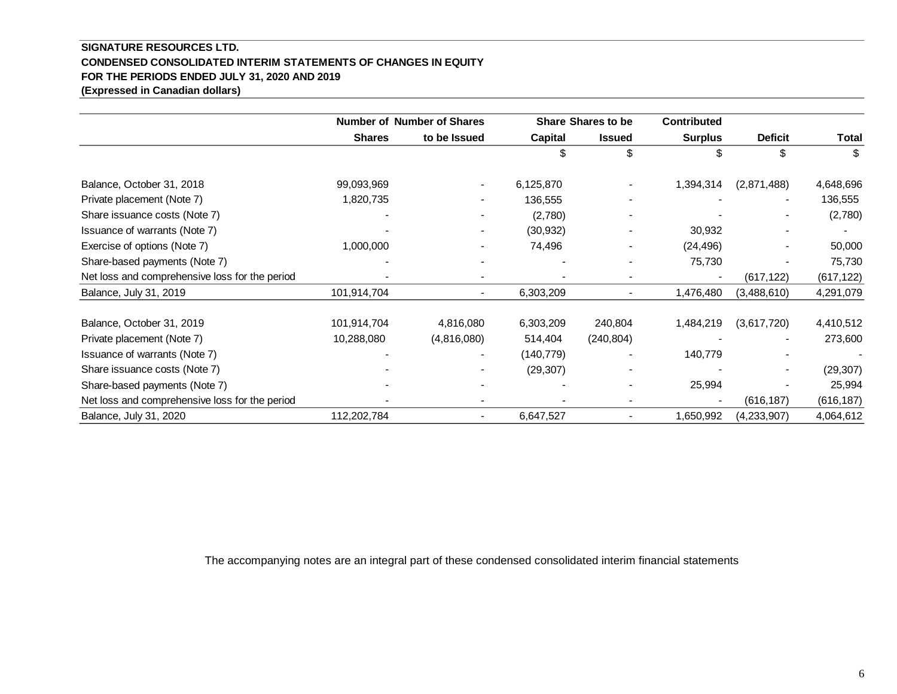## **SIGNATURE RESOURCES LTD. CONDENSED CONSOLIDATED INTERIM STATEMENTS OF CHANGES IN EQUITY FOR THE PERIODS ENDED JULY 31, 2020 AND 2019 (Expressed in Canadian dollars)**

|                                                | <b>Number of Number of Shares</b> |                              |           | <b>Share Shares to be</b> | <b>Contributed</b> |                |              |
|------------------------------------------------|-----------------------------------|------------------------------|-----------|---------------------------|--------------------|----------------|--------------|
|                                                | <b>Shares</b>                     | to be Issued                 | Capital   | <b>Issued</b>             | <b>Surplus</b>     | <b>Deficit</b> | <b>Total</b> |
|                                                |                                   |                              | \$        | \$                        |                    | \$             | \$           |
| Balance, October 31, 2018                      | 99,093,969                        | $\overline{\phantom{a}}$     | 6,125,870 |                           | 1,394,314          | (2,871,488)    | 4,648,696    |
| Private placement (Note 7)                     | 1,820,735                         | $\blacksquare$               | 136,555   |                           |                    | $\sim$         | 136,555      |
| Share issuance costs (Note 7)                  |                                   | $\qquad \qquad \blacksquare$ | (2,780)   |                           |                    |                | (2,780)      |
| Issuance of warrants (Note 7)                  |                                   | ۰                            | (30, 932) |                           | 30,932             |                |              |
| Exercise of options (Note 7)                   | 1,000,000                         |                              | 74,496    |                           | (24, 496)          |                | 50,000       |
| Share-based payments (Note 7)                  |                                   |                              |           |                           | 75,730             |                | 75,730       |
| Net loss and comprehensive loss for the period |                                   |                              |           |                           |                    | (617, 122)     | (617, 122)   |
| Balance, July 31, 2019                         | 101,914,704                       | $\blacksquare$               | 6,303,209 |                           | 1,476,480          | (3,488,610)    | 4,291,079    |
| Balance, October 31, 2019                      | 101,914,704                       | 4,816,080                    | 6,303,209 | 240,804                   | 1,484,219          | (3,617,720)    | 4,410,512    |
| Private placement (Note 7)                     | 10,288,080                        | (4,816,080)                  | 514,404   | (240, 804)                |                    |                | 273,600      |
| Issuance of warrants (Note 7)                  |                                   |                              | (140,779) |                           | 140,779            |                |              |
| Share issuance costs (Note 7)                  |                                   |                              | (29, 307) |                           |                    |                | (29, 307)    |
| Share-based payments (Note 7)                  |                                   |                              |           |                           | 25,994             |                | 25,994       |
| Net loss and comprehensive loss for the period |                                   |                              |           |                           |                    | (616, 187)     | (616, 187)   |
| Balance, July 31, 2020                         | 112,202,784                       | $\blacksquare$               | 6,647,527 |                           | 1,650,992          | (4,233,907)    | 4,064,612    |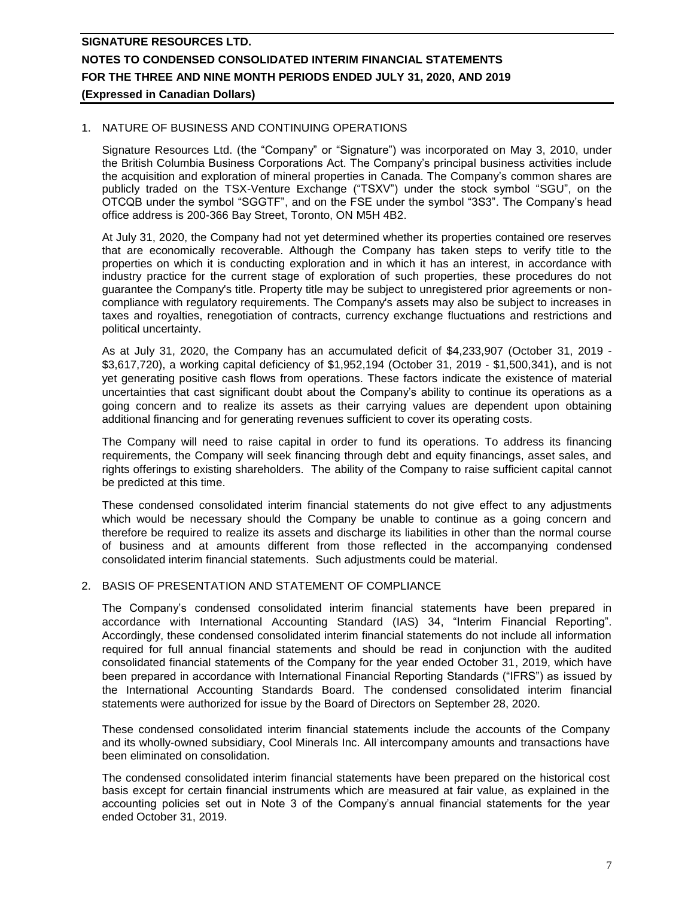## 1. NATURE OF BUSINESS AND CONTINUING OPERATIONS

Signature Resources Ltd. (the "Company" or "Signature") was incorporated on May 3, 2010, under the British Columbia Business Corporations Act. The Company's principal business activities include the acquisition and exploration of mineral properties in Canada. The Company's common shares are publicly traded on the TSX-Venture Exchange ("TSXV") under the stock symbol "SGU", on the OTCQB under the symbol "SGGTF", and on the FSE under the symbol "3S3". The Company's head office address is 200-366 Bay Street, Toronto, ON M5H 4B2.

At July 31, 2020, the Company had not yet determined whether its properties contained ore reserves that are economically recoverable. Although the Company has taken steps to verify title to the properties on which it is conducting exploration and in which it has an interest, in accordance with industry practice for the current stage of exploration of such properties, these procedures do not guarantee the Company's title. Property title may be subject to unregistered prior agreements or noncompliance with regulatory requirements. The Company's assets may also be subject to increases in taxes and royalties, renegotiation of contracts, currency exchange fluctuations and restrictions and political uncertainty.

As at July 31, 2020, the Company has an accumulated deficit of \$4,233,907 (October 31, 2019 - \$3,617,720), a working capital deficiency of \$1,952,194 (October 31, 2019 - \$1,500,341), and is not yet generating positive cash flows from operations. These factors indicate the existence of material uncertainties that cast significant doubt about the Company's ability to continue its operations as a going concern and to realize its assets as their carrying values are dependent upon obtaining additional financing and for generating revenues sufficient to cover its operating costs.

The Company will need to raise capital in order to fund its operations. To address its financing requirements, the Company will seek financing through debt and equity financings, asset sales, and rights offerings to existing shareholders. The ability of the Company to raise sufficient capital cannot be predicted at this time.

These condensed consolidated interim financial statements do not give effect to any adjustments which would be necessary should the Company be unable to continue as a going concern and therefore be required to realize its assets and discharge its liabilities in other than the normal course of business and at amounts different from those reflected in the accompanying condensed consolidated interim financial statements. Such adjustments could be material.

## 2. BASIS OF PRESENTATION AND STATEMENT OF COMPLIANCE

The Company's condensed consolidated interim financial statements have been prepared in accordance with International Accounting Standard (IAS) 34, "Interim Financial Reporting". Accordingly, these condensed consolidated interim financial statements do not include all information required for full annual financial statements and should be read in conjunction with the audited consolidated financial statements of the Company for the year ended October 31, 2019, which have been prepared in accordance with International Financial Reporting Standards ("IFRS") as issued by the International Accounting Standards Board. The condensed consolidated interim financial statements were authorized for issue by the Board of Directors on September 28, 2020.

These condensed consolidated interim financial statements include the accounts of the Company and its wholly-owned subsidiary, Cool Minerals Inc. All intercompany amounts and transactions have been eliminated on consolidation.

The condensed consolidated interim financial statements have been prepared on the historical cost basis except for certain financial instruments which are measured at fair value, as explained in the accounting policies set out in Note 3 of the Company's annual financial statements for the year ended October 31, 2019.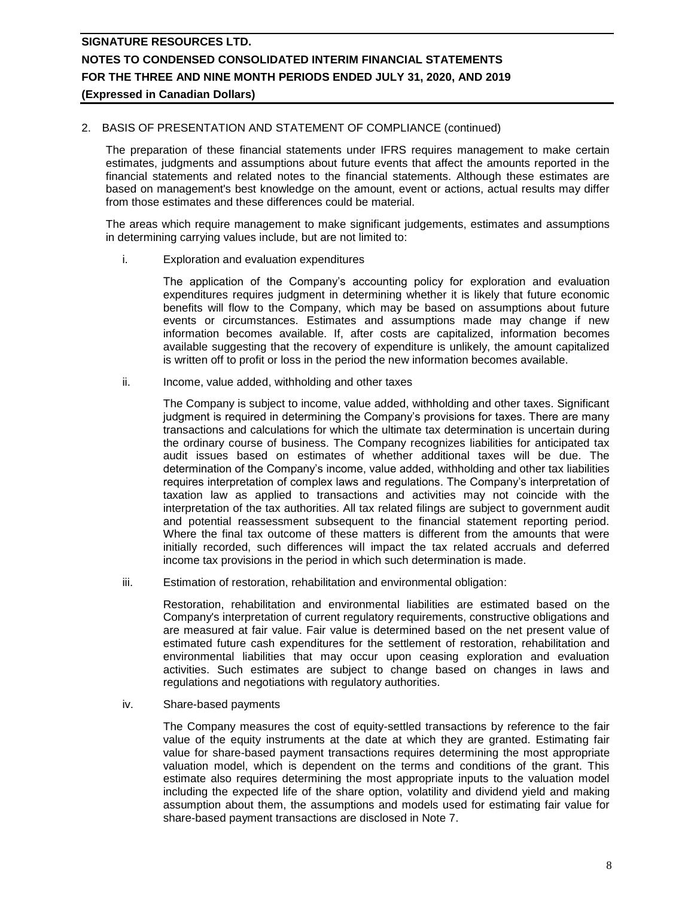## 2. BASIS OF PRESENTATION AND STATEMENT OF COMPLIANCE (continued)

The preparation of these financial statements under IFRS requires management to make certain estimates, judgments and assumptions about future events that affect the amounts reported in the financial statements and related notes to the financial statements. Although these estimates are based on management's best knowledge on the amount, event or actions, actual results may differ from those estimates and these differences could be material.

The areas which require management to make significant judgements, estimates and assumptions in determining carrying values include, but are not limited to:

i. Exploration and evaluation expenditures

The application of the Company's accounting policy for exploration and evaluation expenditures requires judgment in determining whether it is likely that future economic benefits will flow to the Company, which may be based on assumptions about future events or circumstances. Estimates and assumptions made may change if new information becomes available. If, after costs are capitalized, information becomes available suggesting that the recovery of expenditure is unlikely, the amount capitalized is written off to profit or loss in the period the new information becomes available.

ii. Income, value added, withholding and other taxes

The Company is subject to income, value added, withholding and other taxes. Significant judgment is required in determining the Company's provisions for taxes. There are many transactions and calculations for which the ultimate tax determination is uncertain during the ordinary course of business. The Company recognizes liabilities for anticipated tax audit issues based on estimates of whether additional taxes will be due. The determination of the Company's income, value added, withholding and other tax liabilities requires interpretation of complex laws and regulations. The Company's interpretation of taxation law as applied to transactions and activities may not coincide with the interpretation of the tax authorities. All tax related filings are subject to government audit and potential reassessment subsequent to the financial statement reporting period. Where the final tax outcome of these matters is different from the amounts that were initially recorded, such differences will impact the tax related accruals and deferred income tax provisions in the period in which such determination is made.

iii. Estimation of restoration, rehabilitation and environmental obligation:

Restoration, rehabilitation and environmental liabilities are estimated based on the Company's interpretation of current regulatory requirements, constructive obligations and are measured at fair value. Fair value is determined based on the net present value of estimated future cash expenditures for the settlement of restoration, rehabilitation and environmental liabilities that may occur upon ceasing exploration and evaluation activities. Such estimates are subject to change based on changes in laws and regulations and negotiations with regulatory authorities.

iv. Share-based payments

The Company measures the cost of equity-settled transactions by reference to the fair value of the equity instruments at the date at which they are granted. Estimating fair value for share-based payment transactions requires determining the most appropriate valuation model, which is dependent on the terms and conditions of the grant. This estimate also requires determining the most appropriate inputs to the valuation model including the expected life of the share option, volatility and dividend yield and making assumption about them, the assumptions and models used for estimating fair value for share-based payment transactions are disclosed in Note 7.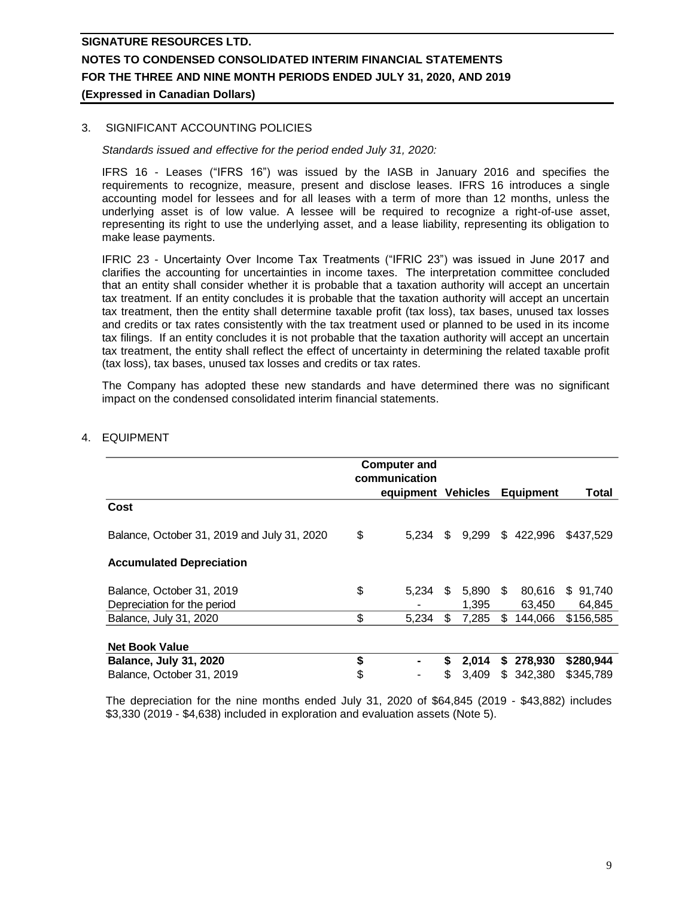## 3. SIGNIFICANT ACCOUNTING POLICIES

*Standards issued and effective for the period ended July 31, 2020:*

IFRS 16 - Leases ("IFRS 16") was issued by the IASB in January 2016 and specifies the requirements to recognize, measure, present and disclose leases. IFRS 16 introduces a single accounting model for lessees and for all leases with a term of more than 12 months, unless the underlying asset is of low value. A lessee will be required to recognize a right-of-use asset, representing its right to use the underlying asset, and a lease liability, representing its obligation to make lease payments.

IFRIC 23 - Uncertainty Over Income Tax Treatments ("IFRIC 23") was issued in June 2017 and clarifies the accounting for uncertainties in income taxes. The interpretation committee concluded that an entity shall consider whether it is probable that a taxation authority will accept an uncertain tax treatment. If an entity concludes it is probable that the taxation authority will accept an uncertain tax treatment, then the entity shall determine taxable profit (tax loss), tax bases, unused tax losses and credits or tax rates consistently with the tax treatment used or planned to be used in its income tax filings. If an entity concludes it is not probable that the taxation authority will accept an uncertain tax treatment, the entity shall reflect the effect of uncertainty in determining the related taxable profit (tax loss), tax bases, unused tax losses and credits or tax rates.

The Company has adopted these new standards and have determined there was no significant impact on the condensed consolidated interim financial statements.

|                                             | <b>Computer and</b> |    |       |     |                  |           |
|---------------------------------------------|---------------------|----|-------|-----|------------------|-----------|
|                                             | communication       |    |       |     |                  |           |
|                                             | equipment Vehicles  |    |       |     | <b>Equipment</b> | Total     |
| Cost                                        |                     |    |       |     |                  |           |
| Balance, October 31, 2019 and July 31, 2020 | \$<br>5.234         | \$ | 9.299 |     | \$422,996        | \$437.529 |
| <b>Accumulated Depreciation</b>             |                     |    |       |     |                  |           |
| Balance, October 31, 2019                   | \$<br>5.234         | \$ | 5.890 | \$. | 80,616           | \$91,740  |
| Depreciation for the period                 |                     |    | 1.395 |     | 63.450           | 64,845    |
| Balance, July 31, 2020                      | \$<br>5,234         | \$ | 7,285 | \$  | 144,066          | \$156,585 |
|                                             |                     |    |       |     |                  |           |
| <b>Net Book Value</b>                       |                     |    |       |     |                  |           |
| <b>Balance, July 31, 2020</b>               | \$                  | S  | 2,014 | S.  | 278,930          | \$280,944 |
| Balance, October 31, 2019                   | \$                  | S  | 3.409 |     | \$342,380        | \$345,789 |

## 4. EQUIPMENT

The depreciation for the nine months ended July 31, 2020 of \$64,845 (2019 - \$43,882) includes \$3,330 (2019 - \$4,638) included in exploration and evaluation assets (Note 5).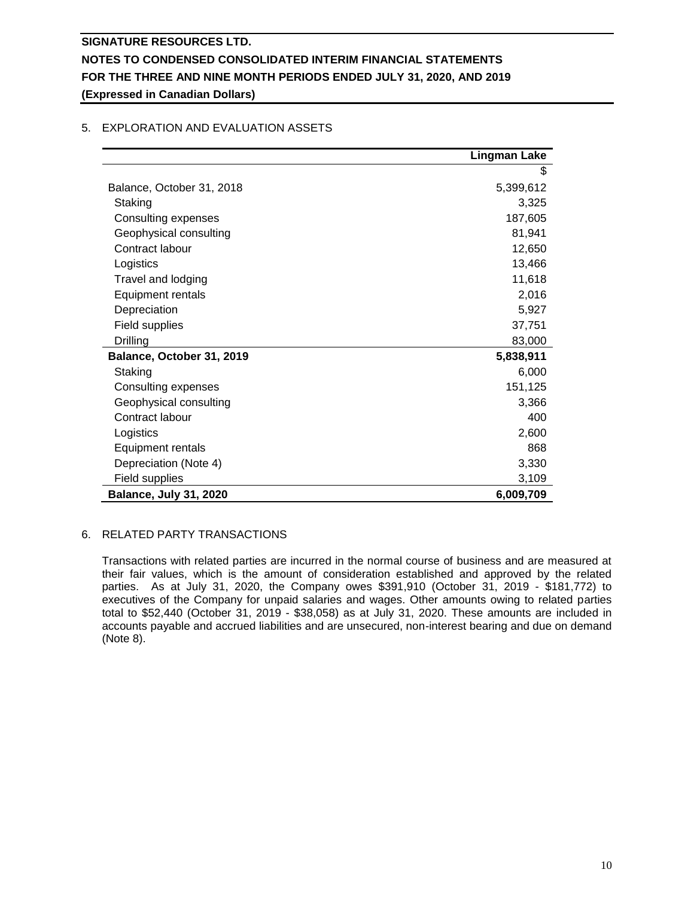## 5. EXPLORATION AND EVALUATION ASSETS

|                               | <b>Lingman Lake</b> |
|-------------------------------|---------------------|
|                               | \$                  |
| Balance, October 31, 2018     | 5,399,612           |
| Staking                       | 3,325               |
| Consulting expenses           | 187,605             |
| Geophysical consulting        | 81,941              |
| Contract labour               | 12,650              |
| Logistics                     | 13,466              |
| Travel and lodging            | 11,618              |
| Equipment rentals             | 2,016               |
| Depreciation                  | 5,927               |
| Field supplies                | 37,751              |
| Drilling                      | 83,000              |
| Balance, October 31, 2019     | 5,838,911           |
| Staking                       | 6,000               |
| Consulting expenses           | 151,125             |
| Geophysical consulting        | 3,366               |
| Contract labour               | 400                 |
| Logistics                     | 2,600               |
| Equipment rentals             | 868                 |
| Depreciation (Note 4)         | 3,330               |
| Field supplies                | 3,109               |
| <b>Balance, July 31, 2020</b> | 6,009,709           |

## 6. RELATED PARTY TRANSACTIONS

Transactions with related parties are incurred in the normal course of business and are measured at their fair values, which is the amount of consideration established and approved by the related parties. As at July 31, 2020, the Company owes \$391,910 (October 31, 2019 - \$181,772) to executives of the Company for unpaid salaries and wages. Other amounts owing to related parties total to \$52,440 (October 31, 2019 - \$38,058) as at July 31, 2020. These amounts are included in accounts payable and accrued liabilities and are unsecured, non-interest bearing and due on demand (Note 8).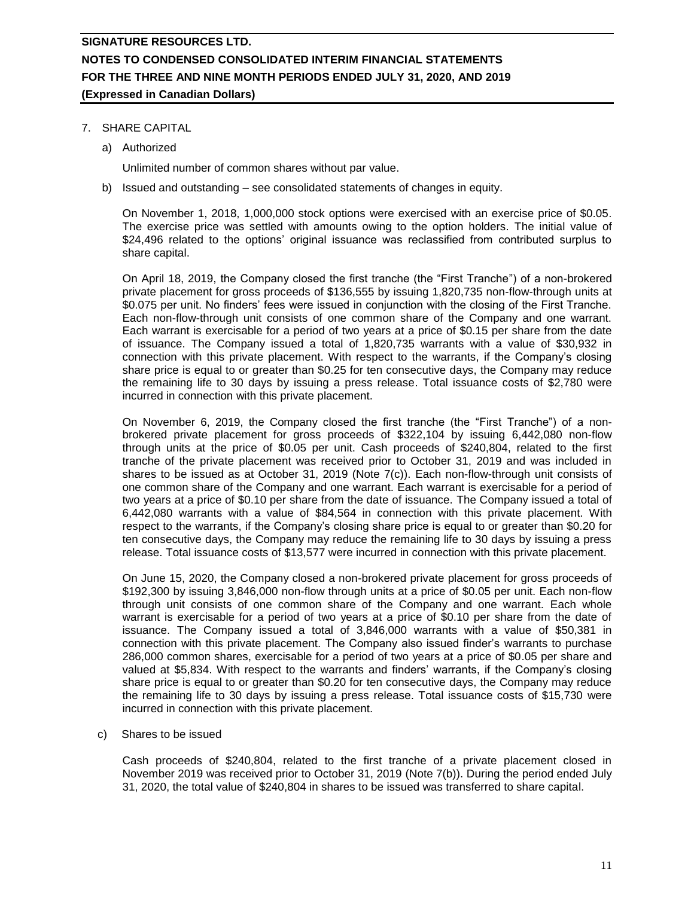## 7. SHARE CAPITAL

a) Authorized

Unlimited number of common shares without par value.

b) Issued and outstanding – see consolidated statements of changes in equity.

On November 1, 2018, 1,000,000 stock options were exercised with an exercise price of \$0.05. The exercise price was settled with amounts owing to the option holders. The initial value of \$24,496 related to the options' original issuance was reclassified from contributed surplus to share capital.

On April 18, 2019, the Company closed the first tranche (the "First Tranche") of a non-brokered private placement for gross proceeds of \$136,555 by issuing 1,820,735 non-flow-through units at \$0.075 per unit. No finders' fees were issued in conjunction with the closing of the First Tranche. Each non-flow-through unit consists of one common share of the Company and one warrant. Each warrant is exercisable for a period of two years at a price of \$0.15 per share from the date of issuance. The Company issued a total of 1,820,735 warrants with a value of \$30,932 in connection with this private placement. With respect to the warrants, if the Company's closing share price is equal to or greater than \$0.25 for ten consecutive days, the Company may reduce the remaining life to 30 days by issuing a press release. Total issuance costs of \$2,780 were incurred in connection with this private placement.

On November 6, 2019, the Company closed the first tranche (the "First Tranche") of a nonbrokered private placement for gross proceeds of \$322,104 by issuing 6,442,080 non-flow through units at the price of \$0.05 per unit. Cash proceeds of \$240,804, related to the first tranche of the private placement was received prior to October 31, 2019 and was included in shares to be issued as at October 31, 2019 (Note 7(c)). Each non-flow-through unit consists of one common share of the Company and one warrant. Each warrant is exercisable for a period of two years at a price of \$0.10 per share from the date of issuance. The Company issued a total of 6,442,080 warrants with a value of \$84,564 in connection with this private placement. With respect to the warrants, if the Company's closing share price is equal to or greater than \$0.20 for ten consecutive days, the Company may reduce the remaining life to 30 days by issuing a press release. Total issuance costs of \$13,577 were incurred in connection with this private placement.

On June 15, 2020, the Company closed a non-brokered private placement for gross proceeds of \$192,300 by issuing 3,846,000 non-flow through units at a price of \$0.05 per unit. Each non-flow through unit consists of one common share of the Company and one warrant. Each whole warrant is exercisable for a period of two years at a price of \$0.10 per share from the date of issuance. The Company issued a total of 3,846,000 warrants with a value of \$50,381 in connection with this private placement. The Company also issued finder's warrants to purchase 286,000 common shares, exercisable for a period of two years at a price of \$0.05 per share and valued at \$5,834. With respect to the warrants and finders' warrants, if the Company's closing share price is equal to or greater than \$0.20 for ten consecutive days, the Company may reduce the remaining life to 30 days by issuing a press release. Total issuance costs of \$15,730 were incurred in connection with this private placement.

c) Shares to be issued

Cash proceeds of \$240,804, related to the first tranche of a private placement closed in November 2019 was received prior to October 31, 2019 (Note 7(b)). During the period ended July 31, 2020, the total value of \$240,804 in shares to be issued was transferred to share capital.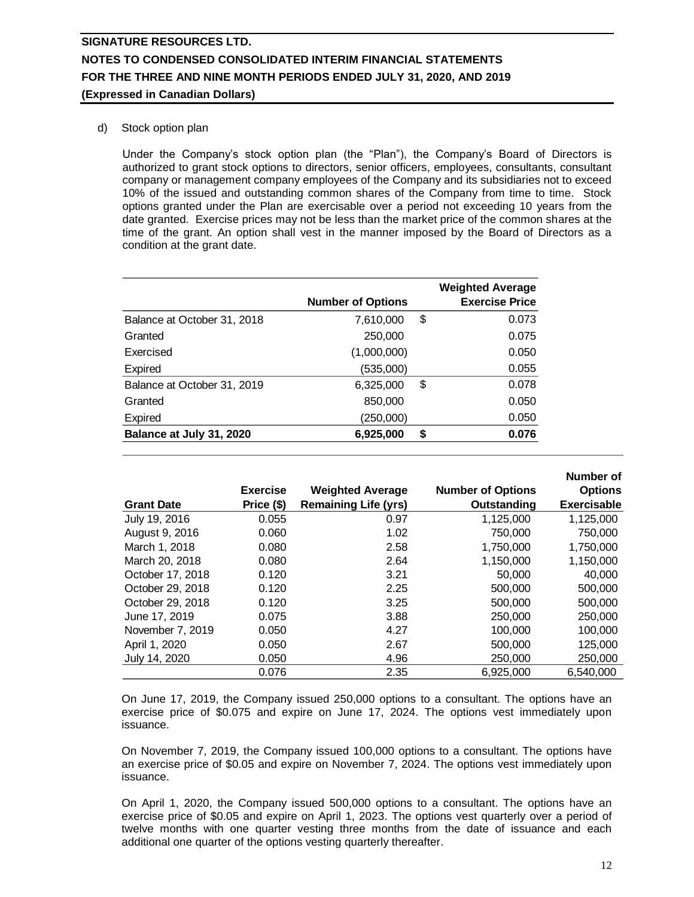### d) Stock option plan

Under the Company's stock option plan (the "Plan"), the Company's Board of Directors is authorized to grant stock options to directors, senior officers, employees, consultants, consultant company or management company employees of the Company and its subsidiaries not to exceed 10% of the issued and outstanding common shares of the Company from time to time. Stock options granted under the Plan are exercisable over a period not exceeding 10 years from the date granted. Exercise prices may not be less than the market price of the common shares at the time of the grant. An option shall vest in the manner imposed by the Board of Directors as a condition at the grant date.

|                             | <b>Number of Options</b> | <b>Weighted Average</b><br><b>Exercise Price</b> |
|-----------------------------|--------------------------|--------------------------------------------------|
| Balance at October 31, 2018 | 7,610,000                | \$<br>0.073                                      |
| Granted                     | 250,000                  | 0.075                                            |
| Exercised                   | (1,000,000)              | 0.050                                            |
| Expired                     | (535,000)                | 0.055                                            |
| Balance at October 31, 2019 | 6,325,000                | \$<br>0.078                                      |
| Granted                     | 850,000                  | 0.050                                            |
| Expired                     | (250,000)                | 0.050                                            |
| Balance at July 31, 2020    | 6,925,000                | \$<br>0.076                                      |

|                   |                 |                             |                          | Number of          |
|-------------------|-----------------|-----------------------------|--------------------------|--------------------|
|                   | <b>Exercise</b> | <b>Weighted Average</b>     | <b>Number of Options</b> | <b>Options</b>     |
| <b>Grant Date</b> | Price (\$)      | <b>Remaining Life (yrs)</b> | Outstanding              | <b>Exercisable</b> |
| July 19, 2016     | 0.055           | 0.97                        | 1,125,000                | 1,125,000          |
| August 9, 2016    | 0.060           | 1.02                        | 750,000                  | 750,000            |
| March 1, 2018     | 0.080           | 2.58                        | 1.750.000                | 1,750,000          |
| March 20, 2018    | 0.080           | 2.64                        | 1,150,000                | 1,150,000          |
| October 17, 2018  | 0.120           | 3.21                        | 50,000                   | 40,000             |
| October 29, 2018  | 0.120           | 2.25                        | 500,000                  | 500,000            |
| October 29, 2018  | 0.120           | 3.25                        | 500,000                  | 500,000            |
| June 17, 2019     | 0.075           | 3.88                        | 250,000                  | 250,000            |
| November 7, 2019  | 0.050           | 4.27                        | 100,000                  | 100,000            |
| April 1, 2020     | 0.050           | 2.67                        | 500,000                  | 125,000            |
| July 14, 2020     | 0.050           | 4.96                        | 250,000                  | 250,000            |
|                   | 0.076           | 2.35                        | 6,925,000                | 6,540,000          |

On June 17, 2019, the Company issued 250,000 options to a consultant. The options have an exercise price of \$0.075 and expire on June 17, 2024. The options vest immediately upon issuance.

On November 7, 2019, the Company issued 100,000 options to a consultant. The options have an exercise price of \$0.05 and expire on November 7, 2024. The options vest immediately upon issuance.

On April 1, 2020, the Company issued 500,000 options to a consultant. The options have an exercise price of \$0.05 and expire on April 1, 2023. The options vest quarterly over a period of twelve months with one quarter vesting three months from the date of issuance and each additional one quarter of the options vesting quarterly thereafter.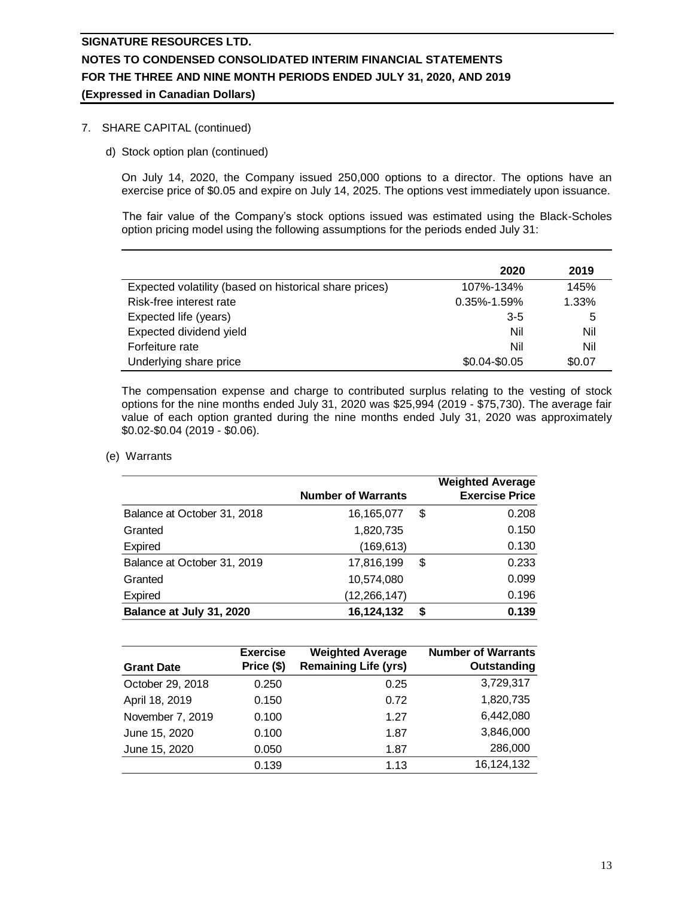## 7. SHARE CAPITAL (continued)

d) Stock option plan (continued)

On July 14, 2020, the Company issued 250,000 options to a director. The options have an exercise price of \$0.05 and expire on July 14, 2025. The options vest immediately upon issuance.

The fair value of the Company's stock options issued was estimated using the Black-Scholes option pricing model using the following assumptions for the periods ended July 31:

|                                                        | 2020              | 2019   |
|--------------------------------------------------------|-------------------|--------|
| Expected volatility (based on historical share prices) | 107%-134%         | 145%   |
| Risk-free interest rate                                | $0.35\% - 1.59\%$ | 1.33%  |
| Expected life (years)                                  | $3-5$             | 5      |
| Expected dividend yield                                | Nil               | Nil    |
| Forfeiture rate                                        | Nil               | Nil    |
| Underlying share price                                 | \$0.04-\$0.05     | \$0.07 |

The compensation expense and charge to contributed surplus relating to the vesting of stock options for the nine months ended July 31, 2020 was \$25,994 (2019 - \$75,730). The average fair value of each option granted during the nine months ended July 31, 2020 was approximately \$0.02-\$0.04 (2019 - \$0.06).

(e) Warrants

|                             | <b>Number of Warrants</b> | <b>Weighted Average</b><br><b>Exercise Price</b> |
|-----------------------------|---------------------------|--------------------------------------------------|
| Balance at October 31, 2018 | 16,165,077                | \$<br>0.208                                      |
| Granted                     | 1,820,735                 | 0.150                                            |
| <b>Expired</b>              | (169, 613)                | 0.130                                            |
| Balance at October 31, 2019 | 17,816,199                | \$<br>0.233                                      |
| Granted                     | 10,574,080                | 0.099                                            |
| <b>Expired</b>              | (12, 266, 147)            | 0.196                                            |
| Balance at July 31, 2020    | 16,124,132                | \$<br>0.139                                      |

| <b>Grant Date</b> | <b>Exercise</b><br>Price (\$) | <b>Weighted Average</b><br><b>Remaining Life (yrs)</b> | <b>Number of Warrants</b><br>Outstanding |
|-------------------|-------------------------------|--------------------------------------------------------|------------------------------------------|
| October 29, 2018  | 0.250                         | 0.25                                                   | 3,729,317                                |
| April 18, 2019    | 0.150                         | 0.72                                                   | 1,820,735                                |
| November 7, 2019  | 0.100                         | 1.27                                                   | 6,442,080                                |
| June 15, 2020     | 0.100                         | 1.87                                                   | 3,846,000                                |
| June 15, 2020     | 0.050                         | 1.87                                                   | 286,000                                  |
|                   | 0.139                         | 1.13                                                   | 16,124,132                               |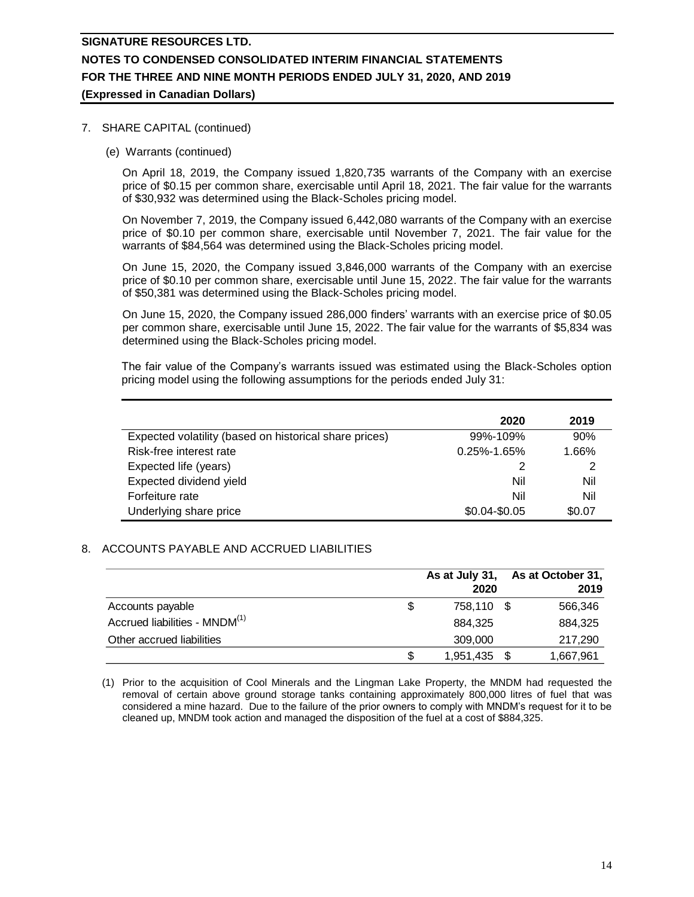### 7. SHARE CAPITAL (continued)

(e) Warrants (continued)

On April 18, 2019, the Company issued 1,820,735 warrants of the Company with an exercise price of \$0.15 per common share, exercisable until April 18, 2021. The fair value for the warrants of \$30,932 was determined using the Black-Scholes pricing model.

On November 7, 2019, the Company issued 6,442,080 warrants of the Company with an exercise price of \$0.10 per common share, exercisable until November 7, 2021. The fair value for the warrants of \$84,564 was determined using the Black-Scholes pricing model.

On June 15, 2020, the Company issued 3,846,000 warrants of the Company with an exercise price of \$0.10 per common share, exercisable until June 15, 2022. The fair value for the warrants of \$50,381 was determined using the Black-Scholes pricing model.

On June 15, 2020, the Company issued 286,000 finders' warrants with an exercise price of \$0.05 per common share, exercisable until June 15, 2022. The fair value for the warrants of \$5,834 was determined using the Black-Scholes pricing model.

The fair value of the Company's warrants issued was estimated using the Black-Scholes option pricing model using the following assumptions for the periods ended July 31:

|                                                        | 2020              | 2019   |
|--------------------------------------------------------|-------------------|--------|
| Expected volatility (based on historical share prices) | 99%-109%          | 90%    |
| Risk-free interest rate                                | $0.25\% - 1.65\%$ | 1.66%  |
| Expected life (years)                                  |                   |        |
| Expected dividend yield                                | Nil               | Nil    |
| Forfeiture rate                                        | Nil               | Nil    |
| Underlying share price                                 | \$0.04-\$0.05     | \$0.07 |

## 8. ACCOUNTS PAYABLE AND ACCRUED LIABILITIES

|                                           |    | As at July 31, | As at October 31, |  |
|-------------------------------------------|----|----------------|-------------------|--|
|                                           |    | 2020           | 2019              |  |
| Accounts payable                          | S  | 758.110 \$     | 566,346           |  |
| Accrued liabilities - MNDM <sup>(1)</sup> |    | 884.325        | 884,325           |  |
| Other accrued liabilities                 |    | 309,000        | 217.290           |  |
|                                           | \$ | 1,951,435 \$   | 1,667,961         |  |

(1) Prior to the acquisition of Cool Minerals and the Lingman Lake Property, the MNDM had requested the removal of certain above ground storage tanks containing approximately 800,000 litres of fuel that was considered a mine hazard. Due to the failure of the prior owners to comply with MNDM's request for it to be cleaned up, MNDM took action and managed the disposition of the fuel at a cost of \$884,325.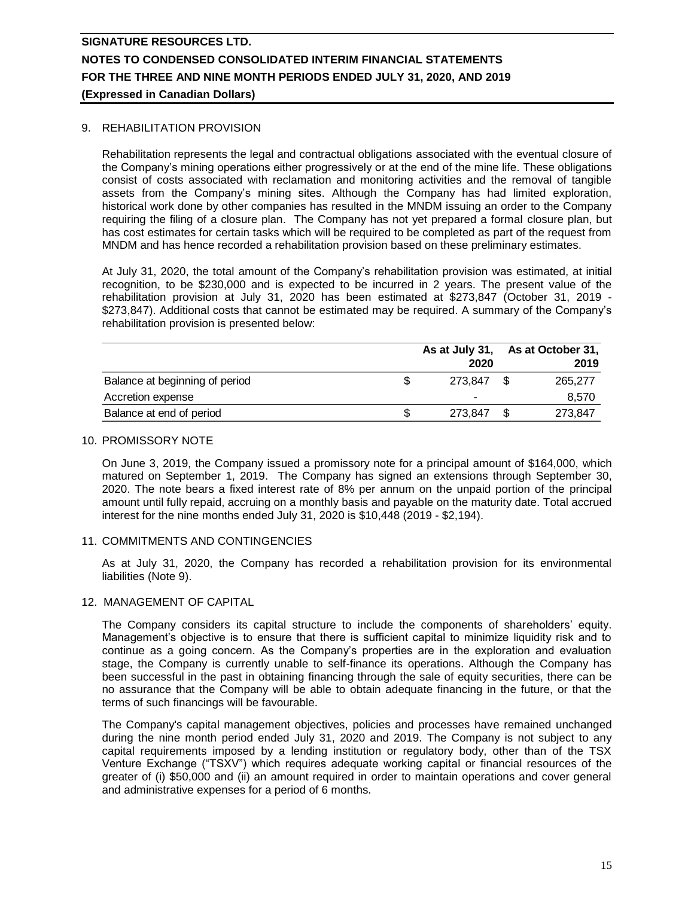### 9. REHABILITATION PROVISION

Rehabilitation represents the legal and contractual obligations associated with the eventual closure of the Company's mining operations either progressively or at the end of the mine life. These obligations consist of costs associated with reclamation and monitoring activities and the removal of tangible assets from the Company's mining sites. Although the Company has had limited exploration, historical work done by other companies has resulted in the MNDM issuing an order to the Company requiring the filing of a closure plan. The Company has not yet prepared a formal closure plan, but has cost estimates for certain tasks which will be required to be completed as part of the request from MNDM and has hence recorded a rehabilitation provision based on these preliminary estimates.

At July 31, 2020, the total amount of the Company's rehabilitation provision was estimated, at initial recognition, to be \$230,000 and is expected to be incurred in 2 years. The present value of the rehabilitation provision at July 31, 2020 has been estimated at \$273,847 (October 31, 2019 - \$273,847). Additional costs that cannot be estimated may be required. A summary of the Company's rehabilitation provision is presented below:

|                                | As at July 31, | As at October 31, |
|--------------------------------|----------------|-------------------|
|                                | 2020           | 2019              |
| Balance at beginning of period | 273.847        | 265,277           |
| Accretion expense              |                | 8,570             |
| Balance at end of period       | 273.847        | 273,847           |

### 10. PROMISSORY NOTE

On June 3, 2019, the Company issued a promissory note for a principal amount of \$164,000, which matured on September 1, 2019. The Company has signed an extensions through September 30, 2020. The note bears a fixed interest rate of 8% per annum on the unpaid portion of the principal amount until fully repaid, accruing on a monthly basis and payable on the maturity date. Total accrued interest for the nine months ended July 31, 2020 is \$10,448 (2019 - \$2,194).

### 11. COMMITMENTS AND CONTINGENCIES

As at July 31, 2020, the Company has recorded a rehabilitation provision for its environmental liabilities (Note 9).

### 12. MANAGEMENT OF CAPITAL

The Company considers its capital structure to include the components of shareholders' equity. Management's objective is to ensure that there is sufficient capital to minimize liquidity risk and to continue as a going concern. As the Company's properties are in the exploration and evaluation stage, the Company is currently unable to self-finance its operations. Although the Company has been successful in the past in obtaining financing through the sale of equity securities, there can be no assurance that the Company will be able to obtain adequate financing in the future, or that the terms of such financings will be favourable.

The Company's capital management objectives, policies and processes have remained unchanged during the nine month period ended July 31, 2020 and 2019. The Company is not subject to any capital requirements imposed by a lending institution or regulatory body, other than of the TSX Venture Exchange ("TSXV") which requires adequate working capital or financial resources of the greater of (i) \$50,000 and (ii) an amount required in order to maintain operations and cover general and administrative expenses for a period of 6 months.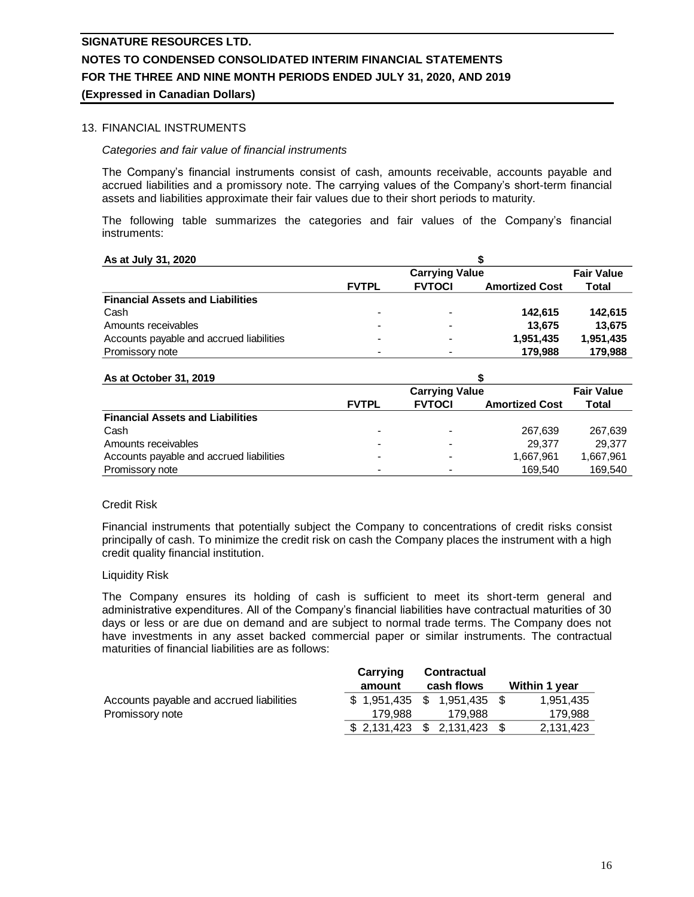#### 13. FINANCIAL INSTRUMENTS

#### *Categories and fair value of financial instruments*

The Company's financial instruments consist of cash, amounts receivable, accounts payable and accrued liabilities and a promissory note. The carrying values of the Company's short-term financial assets and liabilities approximate their fair values due to their short periods to maturity.

The following table summarizes the categories and fair values of the Company's financial instruments:

| As at July 31, 2020                      | <b>Carrying Value</b> |               |                       |                   |  |
|------------------------------------------|-----------------------|---------------|-----------------------|-------------------|--|
|                                          |                       |               |                       | <b>Fair Value</b> |  |
|                                          | <b>FVTPL</b>          | <b>FVTOCI</b> | <b>Amortized Cost</b> | Total             |  |
| <b>Financial Assets and Liabilities</b>  |                       |               |                       |                   |  |
| Cash                                     |                       |               | 142.615               | 142.615           |  |
| Amounts receivables                      |                       |               | 13.675                | 13.675            |  |
| Accounts payable and accrued liabilities |                       |               | 1,951,435             | 1,951,435         |  |
| Promissory note                          |                       |               | 179.988               | 179.988           |  |

#### **As at October 31, 2019**

| AS at October 91, 2019                   |              |                       |                       |           |  |  |  |
|------------------------------------------|--------------|-----------------------|-----------------------|-----------|--|--|--|
|                                          |              | <b>Carrying Value</b> |                       |           |  |  |  |
|                                          | <b>FVTPL</b> | <b>FVTOCI</b>         | <b>Amortized Cost</b> | Total     |  |  |  |
| <b>Financial Assets and Liabilities</b>  |              |                       |                       |           |  |  |  |
| Cash                                     |              |                       | 267.639               | 267,639   |  |  |  |
| Amounts receivables                      |              |                       | 29.377                | 29.377    |  |  |  |
| Accounts payable and accrued liabilities |              |                       | 1,667,961             | 1,667,961 |  |  |  |
| Promissory note                          |              |                       | 169.540               | 169.540   |  |  |  |

**\$**

#### Credit Risk

Financial instruments that potentially subject the Company to concentrations of credit risks consist principally of cash. To minimize the credit risk on cash the Company places the instrument with a high credit quality financial institution.

#### Liquidity Risk

The Company ensures its holding of cash is sufficient to meet its short-term general and administrative expenditures. All of the Company's financial liabilities have contractual maturities of 30 days or less or are due on demand and are subject to normal trade terms. The Company does not have investments in any asset backed commercial paper or similar instruments. The contractual maturities of financial liabilities are as follows:

|                                          | Carrying                      | <b>Contractual</b> |               |
|------------------------------------------|-------------------------------|--------------------|---------------|
|                                          | amount                        | cash flows         | Within 1 year |
| Accounts payable and accrued liabilities | \$ 1.951.435 \$ 1.951.435 \$  |                    | 1.951.435     |
| Promissory note                          | 179.988                       | 179.988            | 179.988       |
|                                          | $$2,131,423$ $$2,131,423$ $$$ |                    | 2,131,423     |